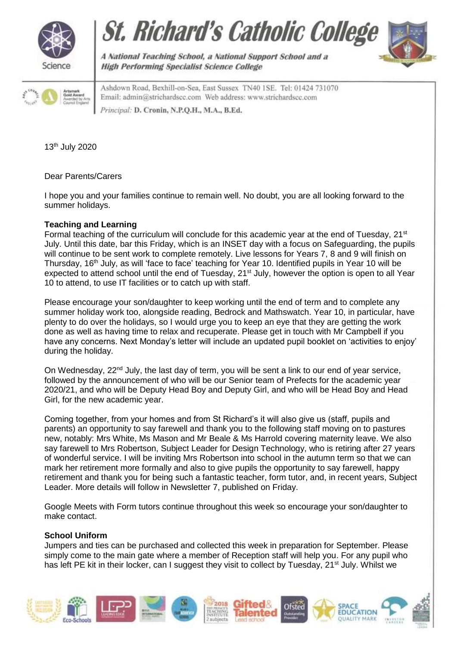







A National Teaching School, a National Support School and a **High Performing Specialist Science College** 

Ashdown Road, Bexhill-on-Sea, East Sussex TN40 1SE. Tel: 01424 731070 Email: admin@strichardscc.com Web address: www.strichardscc.com Principal: D. Cronin, N.P.Q.H., M.A., B.Ed.

13th July 2020

Dear Parents/Carers

I hope you and your families continue to remain well. No doubt, you are all looking forward to the summer holidays.

# **Teaching and Learning**

Formal teaching of the curriculum will conclude for this academic year at the end of Tuesday, 21<sup>st</sup> July. Until this date, bar this Friday, which is an INSET day with a focus on Safeguarding, the pupils will continue to be sent work to complete remotely. Live lessons for Years 7, 8 and 9 will finish on Thursday, 16th July, as will 'face to face' teaching for Year 10. Identified pupils in Year 10 will be expected to attend school until the end of Tuesday, 21<sup>st</sup> July, however the option is open to all Year 10 to attend, to use IT facilities or to catch up with staff.

Please encourage your son/daughter to keep working until the end of term and to complete any summer holiday work too, alongside reading, Bedrock and Mathswatch. Year 10, in particular, have plenty to do over the holidays, so I would urge you to keep an eye that they are getting the work done as well as having time to relax and recuperate. Please get in touch with Mr Campbell if you have any concerns. Next Monday's letter will include an updated pupil booklet on 'activities to enjoy' during the holiday.

On Wednesday, 22<sup>nd</sup> July, the last day of term, you will be sent a link to our end of year service, followed by the announcement of who will be our Senior team of Prefects for the academic year 2020/21, and who will be Deputy Head Boy and Deputy Girl, and who will be Head Boy and Head Girl, for the new academic year.

Coming together, from your homes and from St Richard's it will also give us (staff, pupils and parents) an opportunity to say farewell and thank you to the following staff moving on to pastures new, notably: Mrs White, Ms Mason and Mr Beale & Ms Harrold covering maternity leave. We also say farewell to Mrs Robertson, Subject Leader for Design Technology, who is retiring after 27 years of wonderful service. I will be inviting Mrs Robertson into school in the autumn term so that we can mark her retirement more formally and also to give pupils the opportunity to say farewell, happy retirement and thank you for being such a fantastic teacher, form tutor, and, in recent years, Subject Leader. More details will follow in Newsletter 7, published on Friday.

Google Meets with Form tutors continue throughout this week so encourage your son/daughter to make contact.

## **School Uniform**

Jumpers and ties can be purchased and collected this week in preparation for September. Please simply come to the main gate where a member of Reception staff will help you. For any pupil who has left PE kit in their locker, can I suggest they visit to collect by Tuesday, 21<sup>st</sup> July. Whilst we

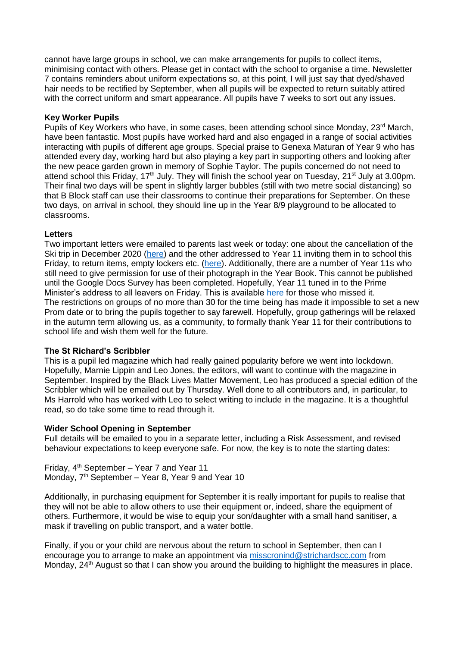cannot have large groups in school, we can make arrangements for pupils to collect items, minimising contact with others. Please get in contact with the school to organise a time. Newsletter 7 contains reminders about uniform expectations so, at this point, I will just say that dyed/shaved hair needs to be rectified by September, when all pupils will be expected to return suitably attired with the correct uniform and smart appearance. All pupils have 7 weeks to sort out any issues.

## **Key Worker Pupils**

Pupils of Key Workers who have, in some cases, been attending school since Monday, 23<sup>rd</sup> March, have been fantastic. Most pupils have worked hard and also engaged in a range of social activities interacting with pupils of different age groups. Special praise to Genexa Maturan of Year 9 who has attended every day, working hard but also playing a key part in supporting others and looking after the new peace garden grown in memory of Sophie Taylor. The pupils concerned do not need to attend school this Friday, 17<sup>th</sup> July. They will finish the school year on Tuesday, 21<sup>st</sup> July at 3.00pm. Their final two days will be spent in slightly larger bubbles (still with two metre social distancing) so that B Block staff can use their classrooms to continue their preparations for September. On these two days, on arrival in school, they should line up in the Year 8/9 playground to be allocated to classrooms.

# **Letters**

Two important letters were emailed to parents last week or today: one about the cancellation of the Ski trip in December 2020 [\(here\)](https://drive.google.com/file/d/1dhIVGZKBN7-mVKgMQr6n3_N_el6IvCZA/view?usp=sharing) and the other addressed to Year 11 inviting them in to school this Friday, to return items, empty lockers etc. [\(here\)](https://drive.google.com/file/d/1RZtB7bAioVzKZb86aWMQOUh1lX_qC5MP/view?usp=sharing). Additionally, there are a number of Year 11s who still need to give permission for use of their photograph in the Year Book. This cannot be published until the Google Docs Survey has been completed. Hopefully, Year 11 tuned in to the Prime Minister's address to all leavers on Friday. This is available [here](https://www.bbc.co.uk/news/education-53364931) for those who missed it. The restrictions on groups of no more than 30 for the time being has made it impossible to set a new Prom date or to bring the pupils together to say farewell. Hopefully, group gatherings will be relaxed in the autumn term allowing us, as a community, to formally thank Year 11 for their contributions to school life and wish them well for the future.

## **The St Richard's Scribbler**

This is a pupil led magazine which had really gained popularity before we went into lockdown. Hopefully, Marnie Lippin and Leo Jones, the editors, will want to continue with the magazine in September. Inspired by the Black Lives Matter Movement, Leo has produced a special edition of the Scribbler which will be emailed out by Thursday. Well done to all contributors and, in particular, to Ms Harrold who has worked with Leo to select writing to include in the magazine. It is a thoughtful read, so do take some time to read through it.

## **Wider School Opening in September**

Full details will be emailed to you in a separate letter, including a Risk Assessment, and revised behaviour expectations to keep everyone safe. For now, the key is to note the starting dates:

Friday, 4th September – Year 7 and Year 11 Monday, 7<sup>th</sup> September – Year 8, Year 9 and Year 10

Additionally, in purchasing equipment for September it is really important for pupils to realise that they will not be able to allow others to use their equipment or, indeed, share the equipment of others. Furthermore, it would be wise to equip your son/daughter with a small hand sanitiser, a mask if travelling on public transport, and a water bottle.

Finally, if you or your child are nervous about the return to school in September, then can I encourage you to arrange to make an appointment via [misscronind@strichardscc.com](mailto:misscronind@strichardscc.com) from Monday, 24<sup>th</sup> August so that I can show you around the building to highlight the measures in place.